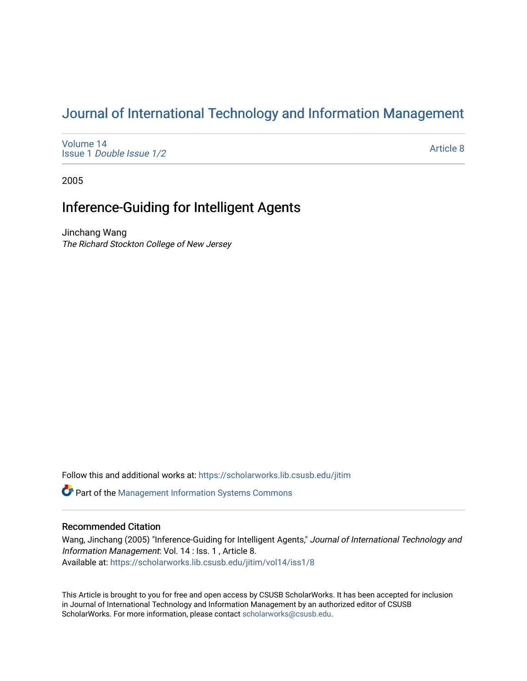# [Journal of International Technology and Information Management](https://scholarworks.lib.csusb.edu/jitim)

[Volume 14](https://scholarworks.lib.csusb.edu/jitim/vol14) Issue 1 [Double Issue 1/2](https://scholarworks.lib.csusb.edu/jitim/vol14/iss1) 

[Article 8](https://scholarworks.lib.csusb.edu/jitim/vol14/iss1/8) 

2005

## Inference-Guiding for Intelligent Agents

Jinchang Wang The Richard Stockton College of New Jersey

Follow this and additional works at: [https://scholarworks.lib.csusb.edu/jitim](https://scholarworks.lib.csusb.edu/jitim?utm_source=scholarworks.lib.csusb.edu%2Fjitim%2Fvol14%2Fiss1%2F8&utm_medium=PDF&utm_campaign=PDFCoverPages) 

**C** Part of the Management Information Systems Commons

## Recommended Citation

Wang, Jinchang (2005) "Inference-Guiding for Intelligent Agents," Journal of International Technology and Information Management: Vol. 14 : Iss. 1 , Article 8. Available at: [https://scholarworks.lib.csusb.edu/jitim/vol14/iss1/8](https://scholarworks.lib.csusb.edu/jitim/vol14/iss1/8?utm_source=scholarworks.lib.csusb.edu%2Fjitim%2Fvol14%2Fiss1%2F8&utm_medium=PDF&utm_campaign=PDFCoverPages) 

This Article is brought to you for free and open access by CSUSB ScholarWorks. It has been accepted for inclusion in Journal of International Technology and Information Management by an authorized editor of CSUSB ScholarWorks. For more information, please contact [scholarworks@csusb.edu.](mailto:scholarworks@csusb.edu)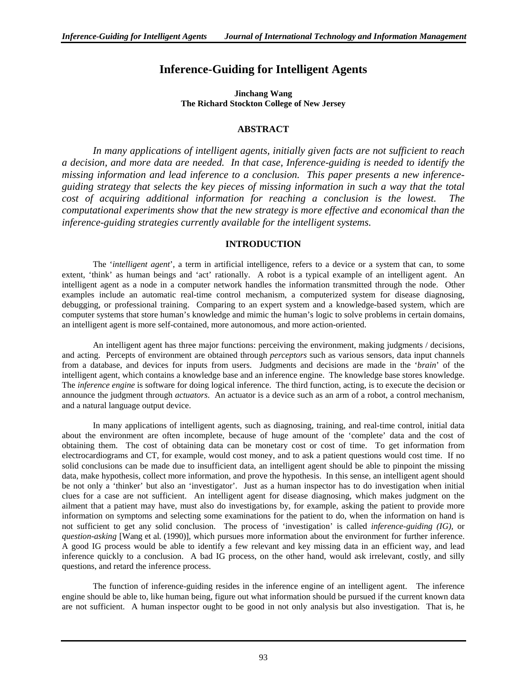## **Inference-Guiding for Intelligent Agents**

**Jinchang Wang The Richard Stockton College of New Jersey** 

## **ABSTRACT**

*In many applications of intelligent agents, initially given facts are not sufficient to reach a decision, and more data are needed. In that case, Inference-guiding is needed to identify the missing information and lead inference to a conclusion. This paper presents a new inferenceguiding strategy that selects the key pieces of missing information in such a way that the total cost of acquiring additional information for reaching a conclusion is the lowest. The computational experiments show that the new strategy is more effective and economical than the inference-guiding strategies currently available for the intelligent systems.* 

## **INTRODUCTION**

The '*intelligent agent*', a term in artificial intelligence, refers to a device or a system that can, to some extent, 'think' as human beings and 'act' rationally. A robot is a typical example of an intelligent agent. An intelligent agent as a node in a computer network handles the information transmitted through the node. Other examples include an automatic real-time control mechanism, a computerized system for disease diagnosing, debugging, or professional training. Comparing to an expert system and a knowledge-based system, which are computer systems that store human's knowledge and mimic the human's logic to solve problems in certain domains, an intelligent agent is more self-contained, more autonomous, and more action-oriented.

An intelligent agent has three major functions: perceiving the environment, making judgments / decisions, and acting. Percepts of environment are obtained through *perceptors* such as various sensors, data input channels from a database, and devices for inputs from users. Judgments and decisions are made in the '*brain*' of the intelligent agent, which contains a knowledge base and an inference engine. The knowledge base stores knowledge. The *inference engine* is software for doing logical inference. The third function, acting, is to execute the decision or announce the judgment through *actuators*. An actuator is a device such as an arm of a robot, a control mechanism, and a natural language output device.

In many applications of intelligent agents, such as diagnosing, training, and real-time control, initial data about the environment are often incomplete, because of huge amount of the 'complete' data and the cost of obtaining them. The cost of obtaining data can be monetary cost or cost of time. To get information from electrocardiograms and CT, for example, would cost money, and to ask a patient questions would cost time. If no solid conclusions can be made due to insufficient data, an intelligent agent should be able to pinpoint the missing data, make hypothesis, collect more information, and prove the hypothesis. In this sense, an intelligent agent should be not only a 'thinker' but also an 'investigator'. Just as a human inspector has to do investigation when initial clues for a case are not sufficient. An intelligent agent for disease diagnosing, which makes judgment on the ailment that a patient may have, must also do investigations by, for example, asking the patient to provide more information on symptoms and selecting some examinations for the patient to do, when the information on hand is not sufficient to get any solid conclusion. The process of 'investigation' is called *inference-guiding (IG)*, or *question-asking* [Wang et al. (1990)], which pursues more information about the environment for further inference. A good IG process would be able to identify a few relevant and key missing data in an efficient way, and lead inference quickly to a conclusion. A bad IG process, on the other hand, would ask irrelevant, costly, and silly questions, and retard the inference process.

The function of inference-guiding resides in the inference engine of an intelligent agent. The inference engine should be able to, like human being, figure out what information should be pursued if the current known data are not sufficient. A human inspector ought to be good in not only analysis but also investigation. That is, he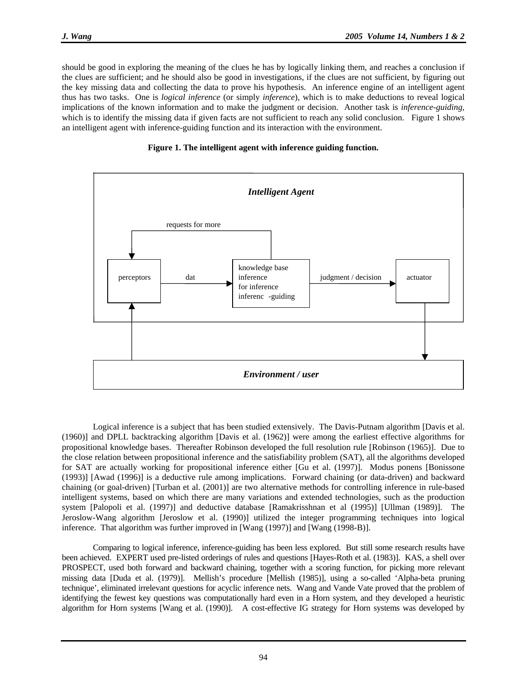should be good in exploring the meaning of the clues he has by logically linking them, and reaches a conclusion if the clues are sufficient; and he should also be good in investigations, if the clues are not sufficient, by figuring out the key missing data and collecting the data to prove his hypothesis. An inference engine of an intelligent agent thus has two tasks. One is *logical inference* (or simply *inference*), which is to make deductions to reveal logical implications of the known information and to make the judgment or decision. Another task is *inference-guiding*, which is to identify the missing data if given facts are not sufficient to reach any solid conclusion. Figure 1 shows an intelligent agent with inference-guiding function and its interaction with the environment.





Logical inference is a subject that has been studied extensively. The Davis-Putnam algorithm [Davis et al. (1960)] and DPLL backtracking algorithm [Davis et al. (1962)] were among the earliest effective algorithms for propositional knowledge bases. Thereafter Robinson developed the full resolution rule [Robinson (1965)]. Due to the close relation between propositional inference and the satisfiability problem (SAT), all the algorithms developed for SAT are actually working for propositional inference either [Gu et al. (1997)]. Modus ponens [Bonissone (1993)] [Awad (1996)] is a deductive rule among implications. Forward chaining (or data-driven) and backward chaining (or goal-driven) [Turban et al. (2001)] are two alternative methods for controlling inference in rule-based intelligent systems, based on which there are many variations and extended technologies, such as the production system [Palopoli et al. (1997)] and deductive database [Ramakrisshnan et al (1995)] [Ullman (1989)]. The Jeroslow-Wang algorithm [Jeroslow et al. (1990)] utilized the integer programming techniques into logical inference. That algorithm was further improved in [Wang (1997)] and [Wang (1998-B)].

 Comparing to logical inference, inference-guiding has been less explored. But still some research results have been achieved. EXPERT used pre-listed orderings of rules and questions [Hayes-Roth et al. (1983)]. KAS, a shell over PROSPECT, used both forward and backward chaining, together with a scoring function, for picking more relevant missing data [Duda et al. (1979)]. Mellish's procedure [Mellish (1985)], using a so-called 'Alpha-beta pruning technique', eliminated irrelevant questions for acyclic inference nets. Wang and Vande Vate proved that the problem of identifying the fewest key questions was computationally hard even in a Horn system, and they developed a heuristic algorithm for Horn systems [Wang et al. (1990)]. A cost-effective IG strategy for Horn systems was developed by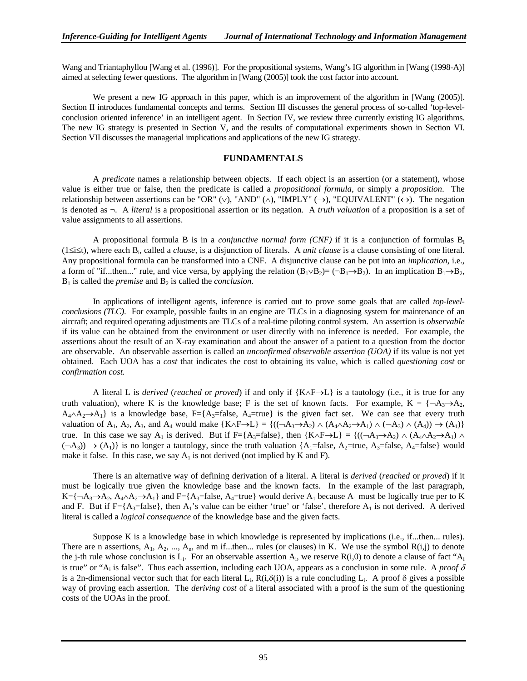Wang and Triantaphyllou [Wang et al. (1996)]. For the propositional systems, Wang's IG algorithm in [Wang (1998-A)] aimed at selecting fewer questions. The algorithm in [Wang (2005)] took the cost factor into account.

We present a new IG approach in this paper, which is an improvement of the algorithm in [Wang (2005)]. Section II introduces fundamental concepts and terms. Section III discusses the general process of so-called 'top-levelconclusion oriented inference' in an intelligent agent. In Section IV, we review three currently existing IG algorithms. The new IG strategy is presented in Section V, and the results of computational experiments shown in Section VI. Section VII discusses the managerial implications and applications of the new IG strategy.

#### **FUNDAMENTALS**

 A *predicate* names a relationship between objects. If each object is an assertion (or a statement), whose value is either true or false, then the predicate is called a *propositional formula*, or simply a *proposition*. The relationship between assertions can be "OR" (∨), "AND" (∧), "IMPLY" (→), "EQUIVALENT" (←). The negation is denoted as ¬. A *literal* is a propositional assertion or its negation. A *truth valuation* of a proposition is a set of value assignments to all assertions.

 A propositional formula B is in a *conjunctive normal form (CNF)* if it is a conjunction of formulas Bi (1≤i≤t), where each Bi, called a *clause,* is a disjunction of literals. A *unit clause* is a clause consisting of one literal. Any propositional formula can be transformed into a CNF. A disjunctive clause can be put into an *implication*, i.e., a form of "if...then..." rule, and vice versa, by applying the relation  $(B_1 \vee B_2) = (\neg B_1 \rightarrow B_2)$ . In an implication  $B_1 \rightarrow B_2$ ,  $B_1$  is called the *premise* and  $B_2$  is called the *conclusion*.

 In applications of intelligent agents, inference is carried out to prove some goals that are called *top-levelconclusions (TLC)*. For example, possible faults in an engine are TLCs in a diagnosing system for maintenance of an aircraft; and required operating adjustments are TLCs of a real-time piloting control system. An assertion is *observable* if its value can be obtained from the environment or user directly with no inference is needed. For example, the assertions about the result of an X-ray examination and about the answer of a patient to a question from the doctor are observable. An observable assertion is called an *unconfirmed observable assertion (UOA)* if its value is not yet obtained. Each UOA has a *cost* that indicates the cost to obtaining its value, which is called *questioning cost* or *confirmation cost.* 

 A literal L is *derived* (*reached o*r *proved*) if and only if {K∧F→L} is a tautology (i.e., it is true for any truth valuation), where K is the knowledge base; F is the set of known facts. For example,  $K = \{\neg A_3 \rightarrow A_2, \neg A_4 \rightarrow A_5, \neg A_5, \neg A_6, \neg A_7, \neg A_8, \neg A_9, \neg A_9, \neg A_9, \neg A_9, \neg A_9, \neg A_9, \neg A_9, \neg A_9, \neg A_9, \neg A_9, \neg A_9, \neg A_9, \neg A_9, \neg$  $A_4 \wedge A_2 \rightarrow A_1$ } is a knowledge base, F={A<sub>3</sub>=false, A<sub>4</sub>=true} is the given fact set. We can see that every truth valuation of  $A_1$ ,  $A_2$ ,  $A_3$ , and  $A_4$  would make  $\{K \wedge F \rightarrow L\} = \{((\neg A_3 \rightarrow A_2) \wedge (A_4 \wedge A_2 \rightarrow A_1) \wedge (\neg A_3) \wedge (A_4)) \rightarrow (A_1)\}$ true. In this case we say A<sub>1</sub> is derived. But if F={A<sub>3</sub>=false}, then {K∧F→L} = {((¬A<sub>3</sub>→A<sub>2</sub>) ∧ (A<sub>4</sub>∧A<sub>2</sub>→A<sub>1</sub>) ∧  $(\neg A_3)$ )  $\rightarrow$   $(A_1)$ } is no longer a tautology, since the truth valuation {A<sub>1</sub>=false, A<sub>2</sub>=true, A<sub>3</sub>=false, A<sub>4</sub>=false} would make it false. In this case, we say  $A_1$  is not derived (not implied by K and F).

 There is an alternative way of defining derivation of a literal. A literal is *derived* (*reached* or *proved*) if it must be logically true given the knowledge base and the known facts. In the example of the last paragraph,  $K=\{\neg A_3\rightarrow A_2, A_4\land A_2\rightarrow A_1\}$  and  $F=\{A_3$ =false,  $A_4$ =true} would derive  $A_1$  because  $A_1$  must be logically true per to K and F. But if F={A<sub>3</sub>=false}, then A<sub>1</sub>'s value can be either 'true' or 'false', therefore A<sub>1</sub> is not derived. A derived literal is called a *logical consequence* of the knowledge base and the given facts.

 Suppose K is a knowledge base in which knowledge is represented by implications (i.e., if...then... rules). There are n assertions,  $A_1$ ,  $A_2$ , ...,  $A_n$ , and m if...then... rules (or clauses) in K. We use the symbol  $R(i,j)$  to denote the j-th rule whose conclusion is  $L_i$ . For an observable assertion  $A_i$ , we reserve  $R(i,0)$  to denote a clause of fact " $A_i$ is true" or "A<sub>i</sub> is false". Thus each assertion, including each UOA, appears as a conclusion in some rule. A *proof*  $\delta$ is a 2n-dimensional vector such that for each literal L<sub>i</sub>, R(i, $\delta(i)$ ) is a rule concluding L<sub>i</sub>. A proof  $\delta$  gives a possible way of proving each assertion. The *deriving cost* of a literal associated with a proof is the sum of the questioning costs of the UOAs in the proof.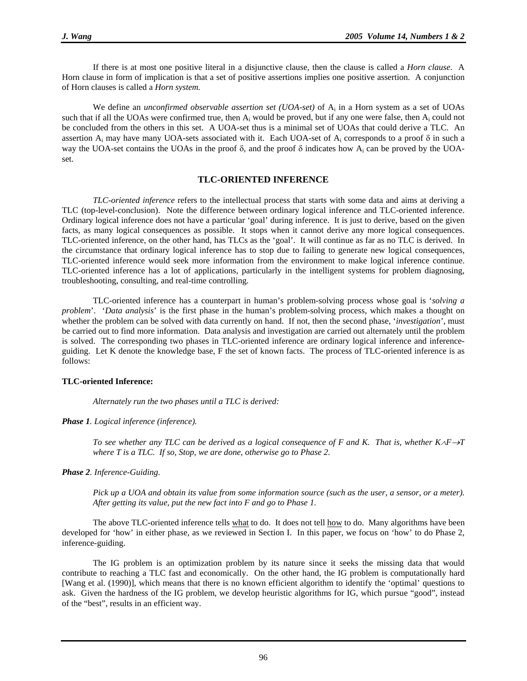If there is at most one positive literal in a disjunctive clause, then the clause is called a *Horn clause*. A Horn clause in form of implication is that a set of positive assertions implies one positive assertion. A conjunction of Horn clauses is called a *Horn system.*

We define an *unconfirmed observable assertion set (UOA-set)* of A<sub>i</sub> in a Horn system as a set of UOAs such that if all the UOAs were confirmed true, then  $A_i$  would be proved, but if any one were false, then  $A_i$  could not be concluded from the others in this set. A UOA-set thus is a minimal set of UOAs that could derive a TLC. An assertion  $A_i$  may have many UOA-sets associated with it. Each UOA-set of  $A_i$  corresponds to a proof  $\delta$  in such a way the UOA-set contains the UOAs in the proof  $\delta$ , and the proof  $\delta$  indicates how A<sub>i</sub> can be proved by the UOAset.

#### **TLC-ORIENTED INFERENCE**

*TLC-oriented inference* refers to the intellectual process that starts with some data and aims at deriving a TLC (top-level-conclusion). Note the difference between ordinary logical inference and TLC-oriented inference. Ordinary logical inference does not have a particular 'goal' during inference. It is just to derive, based on the given facts, as many logical consequences as possible. It stops when it cannot derive any more logical consequences. TLC-oriented inference, on the other hand, has TLCs as the 'goal'. It will continue as far as no TLC is derived. In the circumstance that ordinary logical inference has to stop due to failing to generate new logical consequences, TLC-oriented inference would seek more information from the environment to make logical inference continue. TLC-oriented inference has a lot of applications, particularly in the intelligent systems for problem diagnosing, troubleshooting, consulting, and real-time controlling.

TLC-oriented inference has a counterpart in human's problem-solving process whose goal is '*solving a problem*'. '*Data analysis*' is the first phase in the human's problem-solving process, which makes a thought on whether the problem can be solved with data currently on hand. If not, then the second phase, '*investigation*', must be carried out to find more information. Data analysis and investigation are carried out alternately until the problem is solved. The corresponding two phases in TLC-oriented inference are ordinary logical inference and inferenceguiding. Let K denote the knowledge base, F the set of known facts. The process of TLC-oriented inference is as follows:

#### **TLC-oriented Inference:**

 *Alternately run the two phases until a TLC is derived:* 

*Phase 1. Logical inference (inference).* 

*To see whether any TLC can be derived as a logical consequence of F and K. That is, whether K∧F→T where T is a TLC. If so, Stop, we are done, otherwise go to Phase 2.* 

*Phase 2. Inference-Guiding.* 

 *Pick up a UOA and obtain its value from some information source (such as the user, a sensor, or a meter). After getting its value, put the new fact into F and go to Phase 1.* 

The above TLC-oriented inference tells what to do. It does not tell how to do. Many algorithms have been developed for 'how' in either phase, as we reviewed in Section I. In this paper, we focus on 'how' to do Phase 2, inference-guiding.

The IG problem is an optimization problem by its nature since it seeks the missing data that would contribute to reaching a TLC fast and economically. On the other hand, the IG problem is computationally hard [Wang et al. (1990)], which means that there is no known efficient algorithm to identify the 'optimal' questions to ask. Given the hardness of the IG problem, we develop heuristic algorithms for IG, which pursue "good", instead of the "best", results in an efficient way.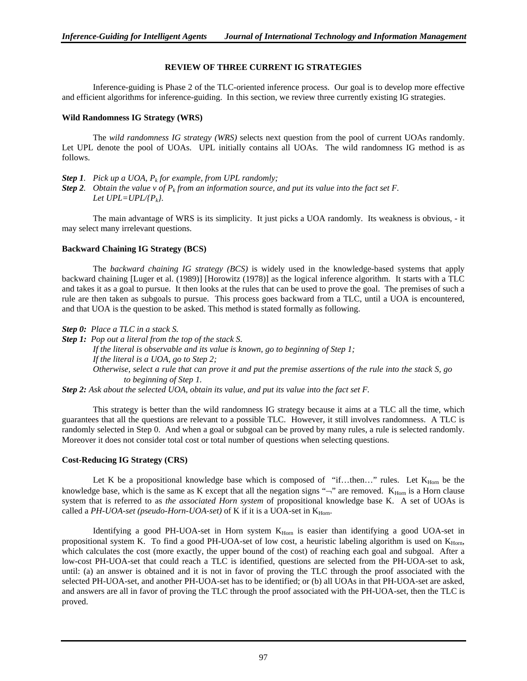#### **REVIEW OF THREE CURRENT IG STRATEGIES**

Inference-guiding is Phase 2 of the TLC-oriented inference process. Our goal is to develop more effective and efficient algorithms for inference-guiding. In this section, we review three currently existing IG strategies.

#### **Wild Randomness IG Strategy (WRS)**

 The *wild randomness IG strategy (WRS)* selects next question from the pool of current UOAs randomly. Let UPL denote the pool of UOAs. UPL initially contains all UOAs. The wild randomness IG method is as follows.

- *Step 1. Pick up a UOA, Pk for example, from UPL randomly;*
- **Step 2.** Obtain the value v of  $P_k$  from an information source, and put its value into the fact set F. *Let*  $UPL=UPL{\langle}P_k{\rangle}$ *.*

The main advantage of WRS is its simplicity. It just picks a UOA randomly. Its weakness is obvious, - it may select many irrelevant questions.

#### **Backward Chaining IG Strategy (BCS)**

 The *backward chaining IG strategy (BCS)* is widely used in the knowledge-based systems that apply backward chaining [Luger et al. (1989)] [Horowitz (1978)] as the logical inference algorithm. It starts with a TLC and takes it as a goal to pursue. It then looks at the rules that can be used to prove the goal. The premises of such a rule are then taken as subgoals to pursue. This process goes backward from a TLC, until a UOA is encountered, and that UOA is the question to be asked. This method is stated formally as following.

*Step 0: Place a TLC in a stack S.* 

*Step 1: Pop out a literal from the top of the stack S. If the literal is observable and its value is known, go to beginning of Step 1; If the literal is a UOA, go to Step 2; Otherwise, select a rule that can prove it and put the premise assertions of the rule into the stack S, go to beginning of Step 1.* 

*Step 2: Ask about the selected UOA, obtain its value, and put its value into the fact set F.* 

This strategy is better than the wild randomness IG strategy because it aims at a TLC all the time, which guarantees that all the questions are relevant to a possible TLC. However, it still involves randomness. A TLC is randomly selected in Step 0. And when a goal or subgoal can be proved by many rules, a rule is selected randomly. Moreover it does not consider total cost or total number of questions when selecting questions.

#### **Cost-Reducing IG Strategy (CRS)**

Let K be a propositional knowledge base which is composed of "if...then..." rules. Let  $K_{Horn}$  be the knowledge base, which is the same as K except that all the negation signs " $\neg$ " are removed. K<sub>Horn</sub> is a Horn clause system that is referred to as *the associated Horn system* of propositional knowledge base K. A set of UOAs is called a PH-UOA-set (pseudo-Horn-UOA-set) of K if it is a UOA-set in K<sub>Horn</sub>.

Identifying a good PH-UOA-set in Horn system  $K_{\text{Hom}}$  is easier than identifying a good UOA-set in propositional system K. To find a good PH-UOA-set of low cost, a heuristic labeling algorithm is used on  $K_{\text{Hom}}$ , which calculates the cost (more exactly, the upper bound of the cost) of reaching each goal and subgoal. After a low-cost PH-UOA-set that could reach a TLC is identified, questions are selected from the PH-UOA-set to ask, until: (a) an answer is obtained and it is not in favor of proving the TLC through the proof associated with the selected PH-UOA-set, and another PH-UOA-set has to be identified; or (b) all UOAs in that PH-UOA-set are asked, and answers are all in favor of proving the TLC through the proof associated with the PH-UOA-set, then the TLC is proved.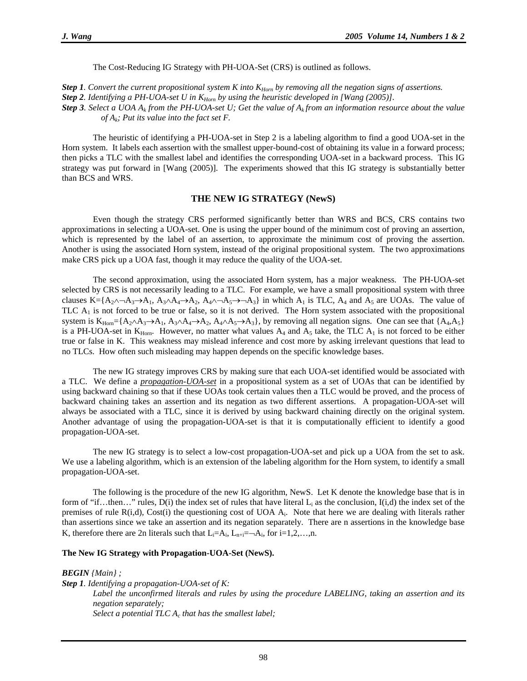The Cost-Reducing IG Strategy with PH-UOA-Set (CRS) is outlined as follows.

*Step 1. Convert the current propositional system K into K<sub>Horn</sub> by removing all the negation signs of assertions.* 

*Step 2. Identifying a PH-UOA-set U in K<sub>Horn</sub> by using the heuristic developed in [Wang (2005)].* 

**Step 3***. Select a UOA A<sub>k</sub> from the PH-UOA-set U; Get the value of A<sub>k</sub> from an information resource about the value of Ak; Put its value into the fact set F.* 

 The heuristic of identifying a PH-UOA-set in Step 2 is a labeling algorithm to find a good UOA-set in the Horn system. It labels each assertion with the smallest upper-bound-cost of obtaining its value in a forward process; then picks a TLC with the smallest label and identifies the corresponding UOA-set in a backward process.This IG strategy was put forward in [Wang (2005)]. The experiments showed that this IG strategy is substantially better than BCS and WRS.

#### **THE NEW IG STRATEGY (NewS)**

 Even though the strategy CRS performed significantly better than WRS and BCS, CRS contains two approximations in selecting a UOA-set. One is using the upper bound of the minimum cost of proving an assertion, which is represented by the label of an assertion, to approximate the minimum cost of proving the assertion. Another is using the associated Horn system, instead of the original propositional system. The two approximations make CRS pick up a UOA fast, though it may reduce the quality of the UOA-set.

The second approximation, using the associated Horn system, has a major weakness. The PH-UOA-set selected by CRS is not necessarily leading to a TLC. For example, we have a small propositional system with three clauses K={A<sub>2</sub>∧¬A<sub>3</sub>→A<sub>1</sub>, A<sub>3</sub>∧A<sub>4</sub>→A<sub>2</sub>, A<sub>4</sub>∧¬A<sub>5</sub>→¬A<sub>3</sub>} in which A<sub>1</sub> is TLC, A<sub>4</sub> and A<sub>5</sub> are UOAs. The value of TLC  $A<sub>1</sub>$  is not forced to be true or false, so it is not derived. The Horn system associated with the propositional system is  $K_{\text{Hom}} = \{A_2 \land A_3 \rightarrow A_1, A_3 \land A_4 \rightarrow A_2, A_4 \land A_5 \rightarrow A_3\}$ , by removing all negation signs. One can see that  $\{A_4, A_5\}$ is a PH-UOA-set in  $K_{Horn}$ . However, no matter what values  $A_4$  and  $A_5$  take, the TLC  $A_1$  is not forced to be either true or false in K. This weakness may mislead inference and cost more by asking irrelevant questions that lead to no TLCs. How often such misleading may happen depends on the specific knowledge bases.

The new IG strategy improves CRS by making sure that each UOA-set identified would be associated with a TLC. We define a *propagation-UOA-set* in a propositional system as a set of UOAs that can be identified by using backward chaining so that if these UOAs took certain values then a TLC would be proved, and the process of backward chaining takes an assertion and its negation as two different assertions. A propagation-UOA-set will always be associated with a TLC, since it is derived by using backward chaining directly on the original system. Another advantage of using the propagation-UOA-set is that it is computationally efficient to identify a good propagation-UOA-set.

The new IG strategy is to select a low-cost propagation-UOA-set and pick up a UOA from the set to ask. We use a labeling algorithm, which is an extension of the labeling algorithm for the Horn system, to identify a small propagation-UOA-set.

 The following is the procedure of the new IG algorithm, NewS. Let K denote the knowledge base that is in form of "if...then..." rules,  $D(i)$  the index set of rules that have literal  $L_i$  as the conclusion,  $I(i,d)$  the index set of the premises of rule  $R(i,d)$ , Cost(i) the questioning cost of UOA  $A_i$ . Note that here we are dealing with literals rather than assertions since we take an assertion and its negation separately. There are n assertions in the knowledge base K, therefore there are 2n literals such that  $L_i = A_i, L_{n+i} = -A_i$ , for  $i = 1, 2, \ldots, n$ .

#### **The New IG Strategy with Propagation-UOA-Set (NewS).**

*BEGIN {Main} ;* 

*Step 1. Identifying a propagation-UOA-set of K: Label the unconfirmed literals and rules by using the procedure LABELING, taking an assertion and its negation separately;*  Select a potential TLC A<sub>c</sub> that has the smallest label;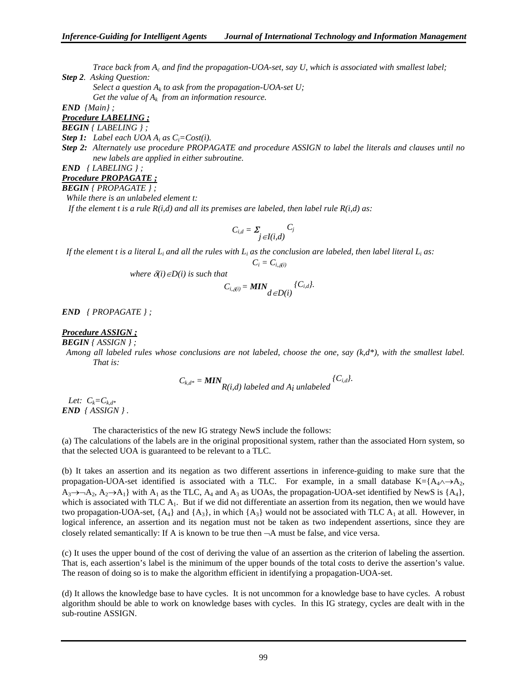*Trace back from Ac and find the propagation-UOA-set, say U, which is associated with smallest label; Step 2. Asking Question:* 

*Select a question*  $A_k$  to ask from the propagation-UOA-set U; Get the value of  $A_k$  from an information resource.

*END {Main} ;* 

*Procedure LABELING ;*

*BEGIN { LABELING } ;* 

*Step 1: Label each UOA Ai as Ci=Cost(i).* 

*Step 2: Alternately use procedure PROPAGATE and procedure ASSIGN to label the literals and clauses until no new labels are applied in either subroutine.* 

## *END { LABELING } ;*

## *Procedure PROPAGATE ;*

*BEGIN { PROPAGATE } ;* 

 *While there is an unlabeled element t: If the element t is a rule R(i,d) and all its premises are labeled, then label rule R(i,d) as:* 

$$
C_{i,d} = \sum_{j \in I(i,d)} C_j
$$

If the element t is a literal  $L_i$  and all the rules with  $L_i$  as the conclusion are labeled, then label literal  $L_i$  as:

$$
C_i = C_{i,\delta(i)}
$$

*where*  $\delta(i) \in D(i)$  *is such that* 

$$
C_{i,\delta^{(i)}} = MIN_{d \in D(i)}^{\{C_{i,d}\}}.
$$

*END { PROPAGATE } ;* 

#### *Procedure ASSIGN ;*

*BEGIN { ASSIGN } ;* 

 *Among all labeled rules whose conclusions are not labeled, choose the one, say (k,d\*), with the smallest label. That is:* 

$$
C_{k,d^*} = MIN_{R(i,d) \text{ labeled and } A_i \text{ unlabeled}}
$$
<sup>{C\_{i,d}}.</sup>

Let:  $C_k = C_{k,d^*}$ *END { ASSIGN } .* 

The characteristics of the new IG strategy NewS include the follows:

(a) The calculations of the labels are in the original propositional system, rather than the associated Horn system, so that the selected UOA is guaranteed to be relevant to a TLC.

(b) It takes an assertion and its negation as two different assertions in inference-guiding to make sure that the propagation-UOA-set identified is associated with a TLC. For example, in a small database K={A<sub>4</sub>∧→A<sub>2</sub>,  $A_3\rightarrow A_2$ ,  $A_2\rightarrow A_1$ } with  $A_1$  as the TLC,  $A_4$  and  $A_3$  as UOAs, the propagation-UOA-set identified by NewS is {A<sub>4</sub>}, which is associated with TLC  $A_1$ . But if we did not differentiate an assertion from its negation, then we would have two propagation-UOA-set,  ${A_4}$  and  ${A_3}$ , in which  ${A_3}$  would not be associated with TLC A<sub>1</sub> at all. However, in logical inference, an assertion and its negation must not be taken as two independent assertions, since they are closely related semantically: If A is known to be true then  $\neg A$  must be false, and vice versa.

(c) It uses the upper bound of the cost of deriving the value of an assertion as the criterion of labeling the assertion. That is, each assertion's label is the minimum of the upper bounds of the total costs to derive the assertion's value. The reason of doing so is to make the algorithm efficient in identifying a propagation-UOA-set.

(d) It allows the knowledge base to have cycles. It is not uncommon for a knowledge base to have cycles. A robust algorithm should be able to work on knowledge bases with cycles. In this IG strategy, cycles are dealt with in the sub-routine ASSIGN.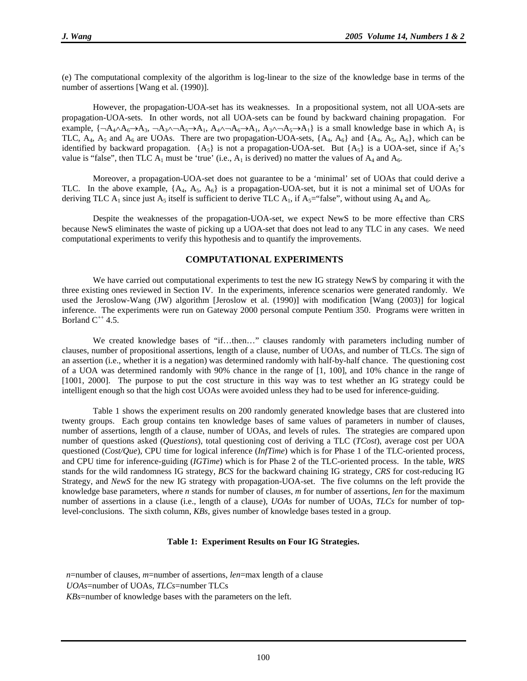(e) The computational complexity of the algorithm is log-linear to the size of the knowledge base in terms of the number of assertions [Wang et al. (1990)].

However, the propagation-UOA-set has its weaknesses. In a propositional system, not all UOA-sets are propagation-UOA-sets. In other words, not all UOA-sets can be found by backward chaining propagation. For example,  $\{\neg A_4 \land A_6 \rightarrow A_3, \neg A_5 \land A_1, A_4 \land \neg A_6 \rightarrow A_1, A_3 \land \neg A_5 \rightarrow A_1\}$  is a small knowledge base in which  $A_1$  is TLC,  $A_4$ ,  $A_5$  and  $A_6$  are UOAs. There are two propagation-UOA-sets,  $\{A_4, A_6\}$  and  $\{A_4, A_5, A_6\}$ , which can be identified by backward propagation.  $\{A_5\}$  is not a propagation-UOA-set. But  $\{A_5\}$  is a UOA-set, since if  $A_5$ 's value is "false", then TLC  $A_1$  must be 'true' (i.e.,  $A_1$  is derived) no matter the values of  $A_4$  and  $A_6$ .

Moreover, a propagation-UOA-set does not guarantee to be a 'minimal' set of UOAs that could derive a TLC. In the above example,  $\{A_4, A_5, A_6\}$  is a propagation-UOA-set, but it is not a minimal set of UOAs for deriving TLC A<sub>1</sub> since just A<sub>5</sub> itself is sufficient to derive TLC A<sub>1</sub>, if A<sub>5</sub>="false", without using A<sub>4</sub> and A<sub>6</sub>.

 Despite the weaknesses of the propagation-UOA-set, we expect NewS to be more effective than CRS because NewS eliminates the waste of picking up a UOA-set that does not lead to any TLC in any cases. We need computational experiments to verify this hypothesis and to quantify the improvements.

#### **COMPUTATIONAL EXPERIMENTS**

 We have carried out computational experiments to test the new IG strategy NewS by comparing it with the three existing ones reviewed in Section IV. In the experiments, inference scenarios were generated randomly. We used the Jeroslow-Wang (JW) algorithm [Jeroslow et al. (1990)] with modification [Wang (2003)] for logical inference. The experiments were run on Gateway 2000 personal compute Pentium 350. Programs were written in Borland  $C^{++}$  4.5.

 We created knowledge bases of "if…then…" clauses randomly with parameters including number of clauses, number of propositional assertions, length of a clause, number of UOAs, and number of TLCs. The sign of an assertion (i.e., whether it is a negation) was determined randomly with half-by-half chance. The questioning cost of a UOA was determined randomly with 90% chance in the range of [1, 100], and 10% chance in the range of [1001, 2000]. The purpose to put the cost structure in this way was to test whether an IG strategy could be intelligent enough so that the high cost UOAs were avoided unless they had to be used for inference-guiding.

 Table 1 shows the experiment results on 200 randomly generated knowledge bases that are clustered into twenty groups. Each group contains ten knowledge bases of same values of parameters in number of clauses, number of assertions, length of a clause, number of UOAs, and levels of rules. The strategies are compared upon number of questions asked (*Questions*), total questioning cost of deriving a TLC (*TCost*), average cost per UOA questioned (*Cost/Que*), CPU time for logical inference (*InfTime*) which is for Phase 1 of the TLC-oriented process, and CPU time for inference-guiding (*IGTime*) which is for Phase 2 of the TLC-oriented process. In the table, *WRS* stands for the wild randomness IG strategy, *BCS* for the backward chaining IG strategy, *CRS* for cost-reducing IG Strategy, and *NewS* for the new IG strategy with propagation-UOA-set. The five columns on the left provide the knowledge base parameters, where *n* stands for number of clauses, *m* for number of assertions, *len* for the maximum number of assertions in a clause (i.e., length of a clause), *UOAs* for number of UOAs, *TLCs* for number of toplevel-conclusions. The sixth column, *KBs*, gives number of knowledge bases tested in a group.

#### **Table 1: Experiment Results on Four IG Strategies.**

 *n*=number of clauses, *m*=number of assertions, *len*=max length of a clause *UOAs*=number of UOAs, *TLCs*=number TLCs *KBs*=number of knowledge bases with the parameters on the left.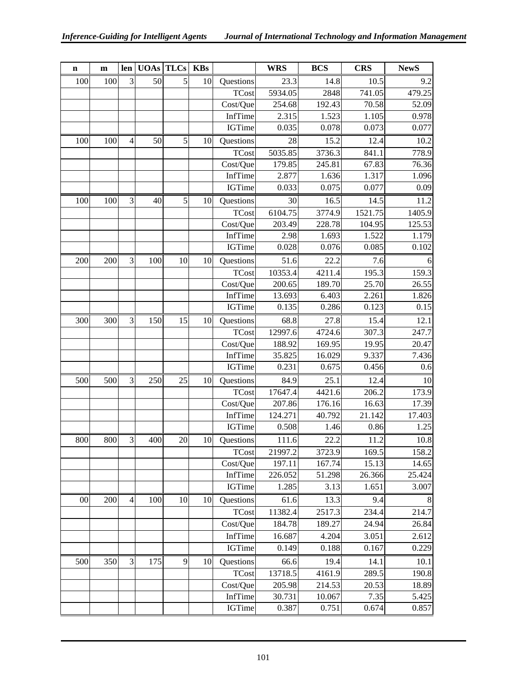| $\mathbf n$ | $\mathbf{m}$ | len            |     | <b>UOAs TLCs</b> | <b>KBs</b> |               | <b>WRS</b> | <b>BCS</b> | <b>CRS</b> | <b>NewS</b> |
|-------------|--------------|----------------|-----|------------------|------------|---------------|------------|------------|------------|-------------|
| 100         | 100          | 3              | 50  | 5                | 10         | Questions     | 23.3       | 14.8       | 10.5       | 9.2         |
|             |              |                |     |                  |            | <b>TCost</b>  | 5934.05    | 2848       | 741.05     | 479.25      |
|             |              |                |     |                  |            | Cost/Que      | 254.68     | 192.43     | 70.58      | 52.09       |
|             |              |                |     |                  |            | InfTime       | 2.315      | 1.523      | 1.105      | 0.978       |
|             |              |                |     |                  |            | <b>IGTime</b> | 0.035      | 0.078      | 0.073      | 0.077       |
| 100         | 100          | $\overline{4}$ | 50  | 5                | 10         | Questions     | 28         | 15.2       | 12.4       | 10.2        |
|             |              |                |     |                  |            | <b>TCost</b>  | 5035.85    | 3736.3     | 841.1      | 778.9       |
|             |              |                |     |                  |            | Cost/Que      | 179.85     | 245.81     | 67.83      | 76.36       |
|             |              |                |     |                  |            | InfTime       | 2.877      | 1.636      | 1.317      | 1.096       |
|             |              |                |     |                  |            | <b>IGTime</b> | 0.033      | 0.075      | 0.077      | 0.09        |
| 100         | 100          | 3              | 40  | 5                | 10         | Questions     | 30         | 16.5       | 14.5       | 11.2        |
|             |              |                |     |                  |            | <b>TCost</b>  | 6104.75    | 3774.9     | 1521.75    | 1405.9      |
|             |              |                |     |                  |            | Cost/Que      | 203.49     | 228.78     | 104.95     | 125.53      |
|             |              |                |     |                  |            | InfTime       | 2.98       | 1.693      | 1.522      | 1.179       |
|             |              |                |     |                  |            | <b>IGTime</b> | 0.028      | 0.076      | 0.085      | 0.102       |
| 200         | 200          | 3              | 100 | 10               | 10         | Questions     | 51.6       | 22.2       | 7.6        | 6           |
|             |              |                |     |                  |            | <b>TCost</b>  | 10353.4    | 4211.4     | 195.3      | 159.3       |
|             |              |                |     |                  |            | Cost/Que      | 200.65     | 189.70     | 25.70      | 26.55       |
|             |              |                |     |                  |            | InfTime       | 13.693     | 6.403      | 2.261      | 1.826       |
|             |              |                |     |                  |            | <b>IGTime</b> | 0.135      | 0.286      | 0.123      | 0.15        |
| 300         | 300          | 3              | 150 | 15               | 10         | Questions     | 68.8       | 27.8       | 15.4       | 12.1        |
|             |              |                |     |                  |            | <b>TCost</b>  | 12997.6    | 4724.6     | 307.3      | 247.7       |
|             |              |                |     |                  |            | Cost/Que      | 188.92     | 169.95     | 19.95      | 20.47       |
|             |              |                |     |                  |            | InfTime       | 35.825     | 16.029     | 9.337      | 7.436       |
|             |              |                |     |                  |            | IGTime        | 0.231      | 0.675      | 0.456      | 0.6         |
| 500         | 500          | 3              | 250 | 25               | 10         | Questions     | 84.9       | 25.1       | 12.4       | 10          |
|             |              |                |     |                  |            | <b>TCost</b>  | 17647.4    | 4421.6     | 206.2      | 173.9       |
|             |              |                |     |                  |            | Cost/Que      | 207.86     | 176.16     | 16.63      | 17.39       |
|             |              |                |     |                  |            | InfTime       | 124.271    | 40.792     | 21.142     | 17.403      |
|             |              |                |     |                  |            | IGTime        | 0.508      | 1.46       | 0.86       | 1.25        |
| 800         | 800          | 3              | 400 | 20               | 10         | Questions     | 111.6      | 22.2       | 11.2       | 10.8        |
|             |              |                |     |                  |            | <b>TCost</b>  | 21997.2    | 3723.9     | 169.5      | 158.2       |
|             |              |                |     |                  |            | Cost/Que      | 197.11     | 167.74     | 15.13      | 14.65       |
|             |              |                |     |                  |            | InfTime       | 226.052    | 51.298     | 26.366     | 25.424      |
|             |              |                |     |                  |            | <b>IGTime</b> | 1.285      | 3.13       | 1.651      | 3.007       |
| $00\,$      | 200          | $\overline{4}$ | 100 | 10               | 10         | Questions     | 61.6       | 13.3       | 9.4        | 8           |
|             |              |                |     |                  |            | <b>TCost</b>  | 11382.4    | 2517.3     | 234.4      | 214.7       |
|             |              |                |     |                  |            | Cost/Que      | 184.78     | 189.27     | 24.94      | 26.84       |
|             |              |                |     |                  |            | InfTime       | 16.687     | 4.204      | 3.051      | 2.612       |
|             |              |                |     |                  |            | <b>IGTime</b> | 0.149      | 0.188      | 0.167      | 0.229       |
| 500         | 350          | 3              | 175 | 9                | 10         | Questions     | 66.6       | 19.4       | 14.1       | 10.1        |
|             |              |                |     |                  |            | <b>TCost</b>  | 13718.5    | 4161.9     | 289.5      | 190.8       |
|             |              |                |     |                  |            | Cost/Que      | 205.98     | 214.53     | 20.53      | 18.89       |
|             |              |                |     |                  |            | InfTime       | 30.731     | 10.067     | 7.35       | 5.425       |
|             |              |                |     |                  |            | <b>IGTime</b> | 0.387      | 0.751      | 0.674      | 0.857       |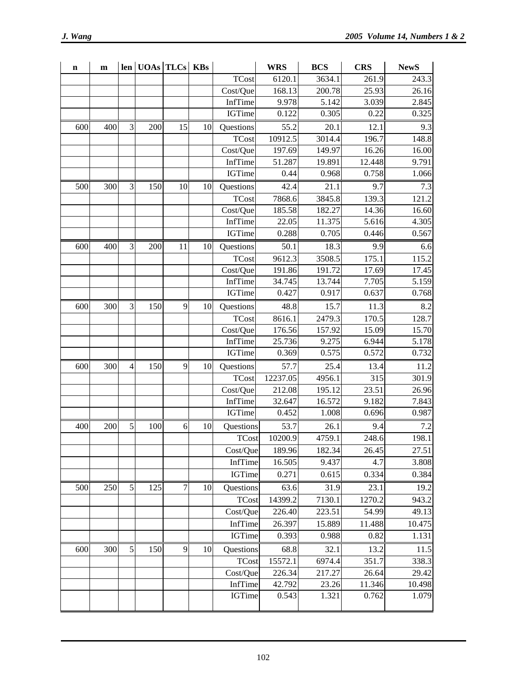| n   | m   |               | len   UOAs   TLCs   KBs |    |    |               | <b>WRS</b> | <b>BCS</b> | <b>CRS</b> | <b>NewS</b> |
|-----|-----|---------------|-------------------------|----|----|---------------|------------|------------|------------|-------------|
|     |     |               |                         |    |    | <b>TCost</b>  | 6120.1     | 3634.1     | 261.9      | 243.3       |
|     |     |               |                         |    |    | Cost/Que      | 168.13     | 200.78     | 25.93      | 26.16       |
|     |     |               |                         |    |    | InfTime       | 9.978      | 5.142      | 3.039      | 2.845       |
|     |     |               |                         |    |    | <b>IGTime</b> | 0.122      | 0.305      | 0.22       | 0.325       |
| 600 | 400 | 3             | 200                     | 15 | 10 | Questions     | 55.2       | 20.1       | 12.1       | 9.3         |
|     |     |               |                         |    |    | <b>TCost</b>  | 10912.5    | 3014.4     | 196.7      | 148.8       |
|     |     |               |                         |    |    | Cost/Que      | 197.69     | 149.97     | 16.26      | 16.00       |
|     |     |               |                         |    |    | InfTime       | 51.287     | 19.891     | 12.448     | 9.791       |
|     |     |               |                         |    |    | <b>IGTime</b> | 0.44       | 0.968      | 0.758      | 1.066       |
| 500 | 300 | 3             | 150                     | 10 | 10 | Questions     | 42.4       | 21.1       | 9.7        | 7.3         |
|     |     |               |                         |    |    | <b>TCost</b>  | 7868.6     | 3845.8     | 139.3      | 121.2       |
|     |     |               |                         |    |    | Cost/Que      | 185.58     | 182.27     | 14.36      | 16.60       |
|     |     |               |                         |    |    | InfTime       | 22.05      | 11.375     | 5.616      | 4.305       |
|     |     |               |                         |    |    | <b>IGTime</b> | 0.288      | 0.705      | 0.446      | 0.567       |
| 600 | 400 | 3             | 200                     | 11 | 10 | Questions     | 50.1       | 18.3       | 9.9        | 6.6         |
|     |     |               |                         |    |    | <b>TCost</b>  | 9612.3     | 3508.5     | 175.1      | 115.2       |
|     |     |               |                         |    |    | Cost/Que      | 191.86     | 191.72     | 17.69      | 17.45       |
|     |     |               |                         |    |    | InfTime       | 34.745     | 13.744     | 7.705      | 5.159       |
|     |     |               |                         |    |    | <b>IGTime</b> | 0.427      | 0.917      | 0.637      | 0.768       |
| 600 | 300 | 3             | 150                     | 9  | 10 | Questions     | 48.8       | 15.7       | 11.3       | 8.2         |
|     |     |               |                         |    |    | <b>TCost</b>  | 8616.1     | 2479.3     | 170.5      | 128.7       |
|     |     |               |                         |    |    | Cost/Que      | 176.56     | 157.92     | 15.09      | 15.70       |
|     |     |               |                         |    |    | InfTime       | 25.736     | 9.275      | 6.944      | 5.178       |
|     |     |               |                         |    |    | <b>IGTime</b> | 0.369      | 0.575      | 0.572      | 0.732       |
| 600 | 300 | 4             | 150                     | 9  | 10 | Questions     | 57.7       | 25.4       | 13.4       | 11.2        |
|     |     |               |                         |    |    | <b>TCost</b>  | 12237.05   | 4956.1     | 315        | 301.9       |
|     |     |               |                         |    |    | Cost/Que      | 212.08     | 195.12     | 23.51      | 26.96       |
|     |     |               |                         |    |    | InfTime       | 32.647     | 16.572     | 9.182      | 7.843       |
|     |     |               |                         |    |    | <b>IGTime</b> | 0.452      | 1.008      | 0.696      | 0.987       |
| 400 | 200 | 5             | 100                     | 6  | 10 | Questions     | 53.7       | 26.1       | 9.4        | 7.2         |
|     |     |               |                         |    |    | <b>TCost</b>  | 10200.9    | 4759.1     | 248.6      | 198.1       |
|     |     |               |                         |    |    | Cost/Que      | 189.96     | 182.34     | 26.45      | 27.51       |
|     |     |               |                         |    |    | InfTime       | 16.505     | 9.437      | 4.7        | 3.808       |
|     |     |               |                         |    |    | <b>IGTime</b> | 0.271      | 0.615      | 0.334      | 0.384       |
| 500 | 250 | $\mathfrak s$ | 125                     | 7  | 10 | Questions     | 63.6       | 31.9       | 23.1       | 19.2        |
|     |     |               |                         |    |    | <b>TCost</b>  | 14399.2    | 7130.1     | 1270.2     | 943.2       |
|     |     |               |                         |    |    | Cost/Que      | 226.40     | 223.51     | 54.99      | 49.13       |
|     |     |               |                         |    |    | InfTime       | 26.397     | 15.889     | 11.488     | 10.475      |
|     |     |               |                         |    |    | <b>IGTime</b> | 0.393      | 0.988      | 0.82       | 1.131       |
| 600 | 300 | 5             | 150                     | 9  | 10 | Questions     | 68.8       | 32.1       | 13.2       | 11.5        |
|     |     |               |                         |    |    | <b>TCost</b>  | 15572.1    | 6974.4     | 351.7      | 338.3       |
|     |     |               |                         |    |    | Cost/Que      | 226.34     | 217.27     | 26.64      | 29.42       |
|     |     |               |                         |    |    | InfTime       | 42.792     | 23.26      | 11.346     | 10.498      |
|     |     |               |                         |    |    | <b>IGTime</b> | 0.543      | 1.321      | 0.762      | 1.079       |
|     |     |               |                         |    |    |               |            |            |            |             |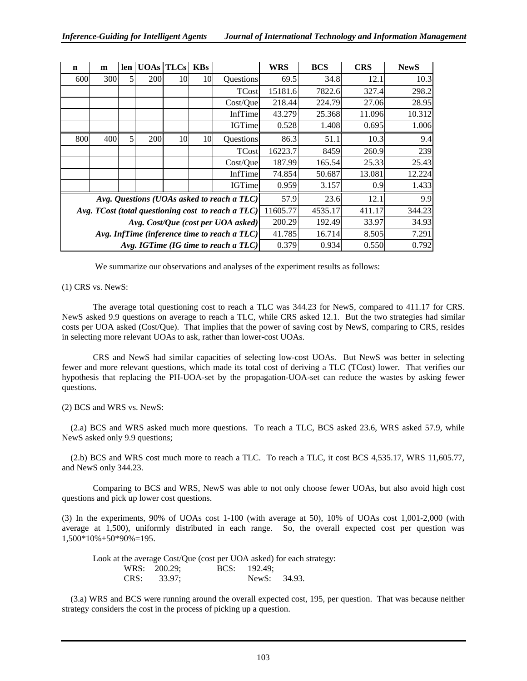| $\mathbf n$ | m                                                  | len | UOAs TLCs KBs |    |    |               | <b>WRS</b> | <b>BCS</b> | <b>CRS</b> | <b>NewS</b> |
|-------------|----------------------------------------------------|-----|---------------|----|----|---------------|------------|------------|------------|-------------|
| 600         | 300                                                | 5   | 200           | 10 | 10 | Questions     | 69.5       | 34.8       | 12.1       | 10.3        |
|             |                                                    |     |               |    |    | <b>TCost</b>  | 15181.6    | 7822.6     | 327.4      | 298.2       |
|             |                                                    |     |               |    |    | Cost/Que      | 218.44     | 224.79     | 27.06      | 28.95       |
|             |                                                    |     |               |    |    | InfTime       | 43.279     | 25.368     | 11.096     | 10.312      |
|             |                                                    |     |               |    |    | <b>IGTime</b> | 0.528      | 1.408      | 0.695      | 1.006       |
| 800         | 400                                                | 5   | 200           | 10 | 10 | Questions     | 86.3       | 51.1       | 10.3       | 9.4         |
|             |                                                    |     |               |    |    | <b>TCost</b>  | 16223.7    | 8459       | 260.9      | 239         |
|             |                                                    |     |               |    |    | Cost/Que      | 187.99     | 165.54     | 25.33      | 25.43       |
|             |                                                    |     |               |    |    | InfTime       | 74.854     | 50.687     | 13.081     | 12.224      |
|             |                                                    |     |               |    |    | <b>IGTime</b> | 0.959      | 3.157      | 0.9        | 1.433       |
|             | Avg. Questions (UOAs asked to reach a TLC)         |     |               |    |    |               | 57.9       | 23.6       | 12.1       | 9.9         |
|             | Avg. TCost (total questioning cost to reach a TLC) |     |               |    |    |               |            | 4535.17    | 411.17     | 344.23      |
|             | Avg. Cost/Que (cost per UOA asked)                 |     |               |    |    |               |            | 192.49     | 33.97      | 34.93       |
|             | Avg. InfTime (inference time to reach a $TLC$ )    |     |               |    |    |               |            | 16.714     | 8.505      | 7.291       |
|             | Avg. IGTime (IG time to reach a TLC)               |     |               |    |    |               |            | 0.934      | 0.550      | 0.792       |

We summarize our observations and analyses of the experiment results as follows:

(1) CRS vs. NewS:

The average total questioning cost to reach a TLC was 344.23 for NewS, compared to 411.17 for CRS. NewS asked 9.9 questions on average to reach a TLC, while CRS asked 12.1. But the two strategies had similar costs per UOA asked (Cost/Que). That implies that the power of saving cost by NewS, comparing to CRS, resides in selecting more relevant UOAs to ask, rather than lower-cost UOAs.

 CRS and NewS had similar capacities of selecting low-cost UOAs. But NewS was better in selecting fewer and more relevant questions, which made its total cost of deriving a TLC (TCost) lower. That verifies our hypothesis that replacing the PH-UOA-set by the propagation-UOA-set can reduce the wastes by asking fewer questions.

(2) BCS and WRS vs. NewS:

 (2.a) BCS and WRS asked much more questions. To reach a TLC, BCS asked 23.6, WRS asked 57.9, while NewS asked only 9.9 questions;

 (2.b) BCS and WRS cost much more to reach a TLC. To reach a TLC, it cost BCS 4,535.17, WRS 11,605.77, and NewS only 344.23.

 Comparing to BCS and WRS, NewS was able to not only choose fewer UOAs, but also avoid high cost questions and pick up lower cost questions.

(3) In the experiments, 90% of UOAs cost 1-100 (with average at 50), 10% of UOAs cost 1,001-2,000 (with average at 1,500), uniformly distributed in each range. So, the overall expected cost per question was 1,500\*10%+50\*90%=195.

 Look at the average Cost/Que (cost per UOA asked) for each strategy: WRS: 200.29; BCS: 192.49; CRS: 33.97; NewS: 34.93.

 (3.a) WRS and BCS were running around the overall expected cost, 195, per question. That was because neither strategy considers the cost in the process of picking up a question.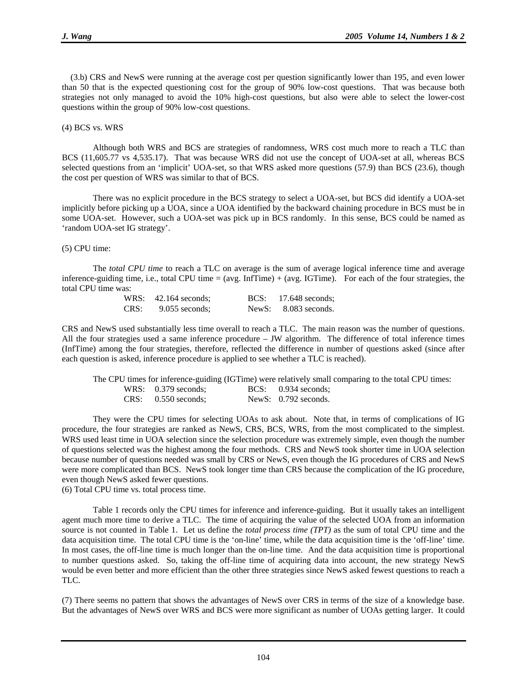(3.b) CRS and NewS were running at the average cost per question significantly lower than 195, and even lower than 50 that is the expected questioning cost for the group of 90% low-cost questions. That was because both strategies not only managed to avoid the 10% high-cost questions, but also were able to select the lower-cost questions within the group of 90% low-cost questions.

#### (4) BCS vs. WRS

 Although both WRS and BCS are strategies of randomness, WRS cost much more to reach a TLC than BCS (11,605.77 vs 4,535.17). That was because WRS did not use the concept of UOA-set at all, whereas BCS selected questions from an 'implicit' UOA-set, so that WRS asked more questions (57.9) than BCS (23.6), though the cost per question of WRS was similar to that of BCS.

There was no explicit procedure in the BCS strategy to select a UOA-set, but BCS did identify a UOA-set implicitly before picking up a UOA, since a UOA identified by the backward chaining procedure in BCS must be in some UOA-set. However, such a UOA-set was pick up in BCS randomly. In this sense, BCS could be named as 'random UOA-set IG strategy'.

#### (5) CPU time:

 The *total CPU time* to reach a TLC on average is the sum of average logical inference time and average inference-guiding time, i.e., total CPU time  $= (avg. Inffime) + (avg. IGTime)$ . For each of the four strategies, the total CPU time was:

| WRS: $42.164$ seconds; | $BCS: 17.648$ seconds; |
|------------------------|------------------------|
| $CRS: 9.055$ seconds;  | NewS: $8.083$ seconds. |

CRS and NewS used substantially less time overall to reach a TLC. The main reason was the number of questions. All the four strategies used a same inference procedure – JW algorithm. The difference of total inference times (InfTime) among the four strategies, therefore, reflected the difference in number of questions asked (since after each question is asked, inference procedure is applied to see whether a TLC is reached).

|                       | The CPU times for inference-guiding (IGTime) were relatively small comparing to the total CPU times: |
|-----------------------|------------------------------------------------------------------------------------------------------|
| WRS: $0.379$ seconds: | $BCS: 0.934$ seconds;                                                                                |
| $CRS: 0.550$ seconds: | NewS: $0.792$ seconds.                                                                               |

They were the CPU times for selecting UOAs to ask about. Note that, in terms of complications of IG procedure, the four strategies are ranked as NewS, CRS, BCS, WRS, from the most complicated to the simplest. WRS used least time in UOA selection since the selection procedure was extremely simple, even though the number of questions selected was the highest among the four methods. CRS and NewS took shorter time in UOA selection because number of questions needed was small by CRS or NewS, even though the IG procedures of CRS and NewS were more complicated than BCS. NewS took longer time than CRS because the complication of the IG procedure, even though NewS asked fewer questions.

(6) Total CPU time vs. total process time.

 Table 1 records only the CPU times for inference and inference-guiding. But it usually takes an intelligent agent much more time to derive a TLC. The time of acquiring the value of the selected UOA from an information source is not counted in Table 1. Let us define the *total process time (TPT)* as the sum of total CPU time and the data acquisition time. The total CPU time is the 'on-line' time, while the data acquisition time is the 'off-line' time. In most cases, the off-line time is much longer than the on-line time. And the data acquisition time is proportional to number questions asked. So, taking the off-line time of acquiring data into account, the new strategy NewS would be even better and more efficient than the other three strategies since NewS asked fewest questions to reach a TLC.

(7) There seems no pattern that shows the advantages of NewS over CRS in terms of the size of a knowledge base. But the advantages of NewS over WRS and BCS were more significant as number of UOAs getting larger. It could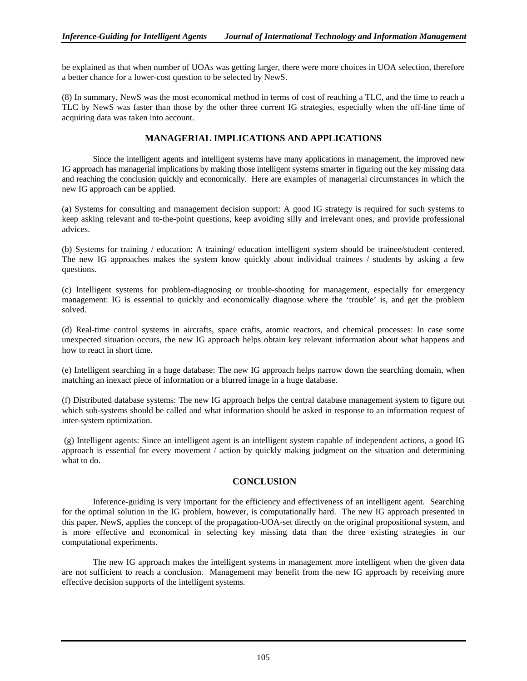be explained as that when number of UOAs was getting larger, there were more choices in UOA selection, therefore a better chance for a lower-cost question to be selected by NewS.

(8) In summary, NewS was the most economical method in terms of cost of reaching a TLC, and the time to reach a TLC by NewS was faster than those by the other three current IG strategies, especially when the off-line time of acquiring data was taken into account.

### **MANAGERIAL IMPLICATIONS AND APPLICATIONS**

Since the intelligent agents and intelligent systems have many applications in management, the improved new IG approach has managerial implications by making those intelligent systems smarter in figuring out the key missing data and reaching the conclusion quickly and economically. Here are examples of managerial circumstances in which the new IG approach can be applied.

(a) Systems for consulting and management decision support: A good IG strategy is required for such systems to keep asking relevant and to-the-point questions, keep avoiding silly and irrelevant ones, and provide professional advices.

(b) Systems for training / education: A training/ education intelligent system should be trainee/student–centered. The new IG approaches makes the system know quickly about individual trainees / students by asking a few questions.

(c) Intelligent systems for problem-diagnosing or trouble-shooting for management, especially for emergency management: IG is essential to quickly and economically diagnose where the 'trouble' is, and get the problem solved.

(d) Real-time control systems in aircrafts, space crafts, atomic reactors, and chemical processes: In case some unexpected situation occurs, the new IG approach helps obtain key relevant information about what happens and how to react in short time.

(e) Intelligent searching in a huge database: The new IG approach helps narrow down the searching domain, when matching an inexact piece of information or a blurred image in a huge database.

(f) Distributed database systems: The new IG approach helps the central database management system to figure out which sub-systems should be called and what information should be asked in response to an information request of inter-system optimization.

 (g) Intelligent agents: Since an intelligent agent is an intelligent system capable of independent actions, a good IG approach is essential for every movement / action by quickly making judgment on the situation and determining what to do.

## **CONCLUSION**

 Inference-guiding is very important for the efficiency and effectiveness of an intelligent agent. Searching for the optimal solution in the IG problem, however, is computationally hard. The new IG approach presented in this paper, NewS, applies the concept of the propagation-UOA-set directly on the original propositional system, and is more effective and economical in selecting key missing data than the three existing strategies in our computational experiments.

The new IG approach makes the intelligent systems in management more intelligent when the given data are not sufficient to reach a conclusion. Management may benefit from the new IG approach by receiving more effective decision supports of the intelligent systems.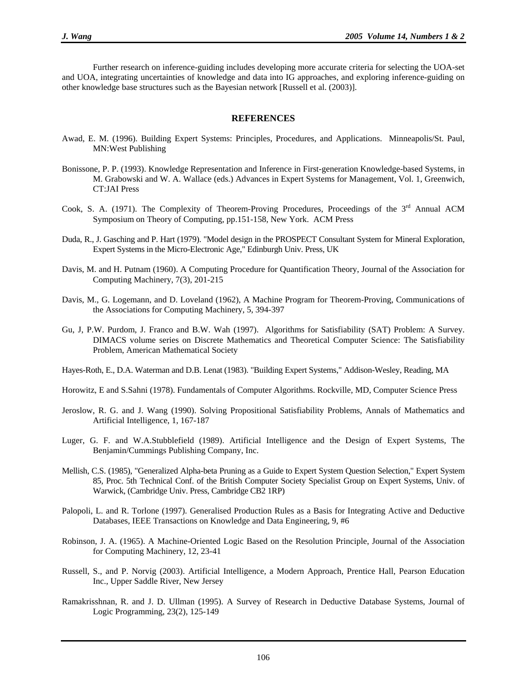Further research on inference-guiding includes developing more accurate criteria for selecting the UOA-set and UOA, integrating uncertainties of knowledge and data into IG approaches, and exploring inference-guiding on other knowledge base structures such as the Bayesian network [Russell et al. (2003)].

#### **REFERENCES**

- Awad, E. M. (1996). Building Expert Systems: Principles, Procedures, and Applications. Minneapolis/St. Paul, MN:West Publishing
- Bonissone, P. P. (1993). Knowledge Representation and Inference in First-generation Knowledge-based Systems, in M. Grabowski and W. A. Wallace (eds.) Advances in Expert Systems for Management, Vol. 1, Greenwich, CT:JAI Press
- Cook, S. A. (1971). The Complexity of Theorem-Proving Procedures, Proceedings of the 3<sup>rd</sup> Annual ACM Symposium on Theory of Computing, pp.151-158, New York. ACM Press
- Duda, R., J. Gasching and P. Hart (1979). "Model design in the PROSPECT Consultant System for Mineral Exploration, Expert Systems in the Micro-Electronic Age," Edinburgh Univ. Press, UK
- Davis, M. and H. Putnam (1960). A Computing Procedure for Quantification Theory, Journal of the Association for Computing Machinery, 7(3), 201-215
- Davis, M., G. Logemann, and D. Loveland (1962), A Machine Program for Theorem-Proving, Communications of the Associations for Computing Machinery, 5, 394-397
- Gu, J, P.W. Purdom, J. Franco and B.W. Wah (1997). Algorithms for Satisfiability (SAT) Problem: A Survey. DIMACS volume series on Discrete Mathematics and Theoretical Computer Science: The Satisfiability Problem, American Mathematical Society
- Hayes-Roth, E., D.A. Waterman and D.B. Lenat (1983). "Building Expert Systems," Addison-Wesley, Reading, MA
- Horowitz, E and S.Sahni (1978). Fundamentals of Computer Algorithms. Rockville, MD, Computer Science Press
- Jeroslow, R. G. and J. Wang (1990). Solving Propositional Satisfiability Problems, Annals of Mathematics and Artificial Intelligence, 1, 167-187
- Luger, G. F. and W.A.Stubblefield (1989). Artificial Intelligence and the Design of Expert Systems, The Benjamin/Cummings Publishing Company, Inc.
- Mellish, C.S. (1985), "Generalized Alpha-beta Pruning as a Guide to Expert System Question Selection," Expert System 85, Proc. 5th Technical Conf. of the British Computer Society Specialist Group on Expert Systems, Univ. of Warwick, (Cambridge Univ. Press, Cambridge CB2 1RP)
- Palopoli, L. and R. Torlone (1997). Generalised Production Rules as a Basis for Integrating Active and Deductive Databases, IEEE Transactions on Knowledge and Data Engineering, 9, #6
- Robinson, J. A. (1965). A Machine-Oriented Logic Based on the Resolution Principle, Journal of the Association for Computing Machinery, 12, 23-41
- Russell, S., and P. Norvig (2003). Artificial Intelligence, a Modern Approach, Prentice Hall, Pearson Education Inc., Upper Saddle River, New Jersey
- Ramakrisshnan, R. and J. D. Ullman (1995). A Survey of Research in Deductive Database Systems, Journal of Logic Programming, 23(2), 125-149